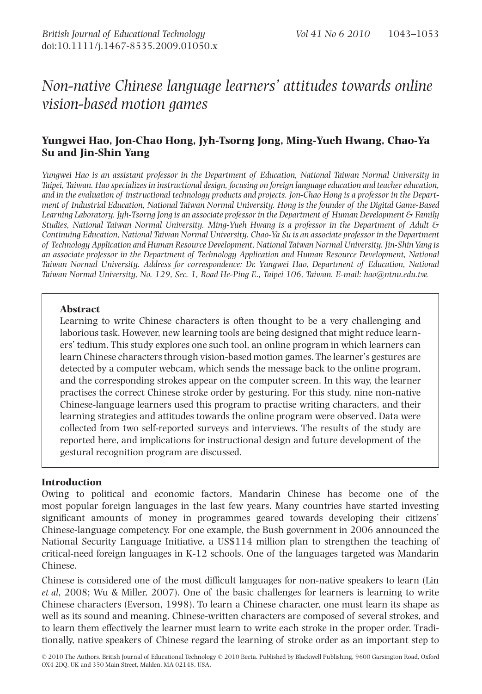# *Non-native Chinese language learners' attitudes towards online vision-based motion games\_1050 1043..1053*

## **Yungwei Hao, Jon-Chao Hong, Jyh-Tsorng Jong, Ming-Yueh Hwang, Chao-Ya Su and Jin-Shin Yang**

*Yungwei Hao is an assistant professor in the Department of Education, National Taiwan Normal University in Taipei, Taiwan. Hao specializes in instructional design, focusing on foreign language education and teacher education, and in the evaluation of instructional technology products and projects. Jon-Chao Hong is a professor in the Department of Industrial Education, National Taiwan Normal University. Hong is the founder of the Digital Game-Based Learning Laboratory. Jyh-Tsorng Jong is an associate professor in the Department of Human Development & Family Studies, National Taiwan Normal University. Ming-Yueh Hwang is a professor in the Department of Adult & Continuing Education, National Taiwan Normal University. Chao-Ya Su is an associate professor in the Department of Technology Application and Human Resource Development, National Taiwan Normal University. Jin-Shin Yang is an associate professor in the Department of Technology Application and Human Resource Development, National Taiwan Normal University. Address for correspondence: Dr. Yungwei Hao, Department of Education, National Taiwan Normal University, No. 129, Sec. 1, Road He-Ping E., Taipei 106, Taiwan. E-mail: hao@ntnu.edu.tw.*

#### **Abstract**

Learning to write Chinese characters is often thought to be a very challenging and laborious task. However, new learning tools are being designed that might reduce learners' tedium. This study explores one such tool, an online program in which learners can learn Chinese characters through vision-based motion games. The learner's gestures are detected by a computer webcam, which sends the message back to the online program, and the corresponding strokes appear on the computer screen. In this way, the learner practises the correct Chinese stroke order by gesturing. For this study, nine non-native Chinese-language learners used this program to practise writing characters, and their learning strategies and attitudes towards the online program were observed. Data were collected from two self-reported surveys and interviews. The results of the study are reported here, and implications for instructional design and future development of the gestural recognition program are discussed.

#### **Introduction**

Owing to political and economic factors, Mandarin Chinese has become one of the most popular foreign languages in the last few years. Many countries have started investing significant amounts of money in programmes geared towards developing their citizens' Chinese-language competency. For one example, the Bush government in 2006 announced the National Security Language Initiative, a US\$114 million plan to strengthen the teaching of critical-need foreign languages in K-12 schools. One of the languages targeted was Mandarin Chinese.

Chinese is considered one of the most difficult languages for non-native speakers to learn (Lin *et al*, 2008; Wu & Miller, 2007). One of the basic challenges for learners is learning to write Chinese characters (Everson, 1998). To learn a Chinese character, one must learn its shape as well as its sound and meaning. Chinese-written characters are composed of several strokes, and to learn them effectively the learner must learn to write each stroke in the proper order. Traditionally, native speakers of Chinese regard the learning of stroke order as an important step to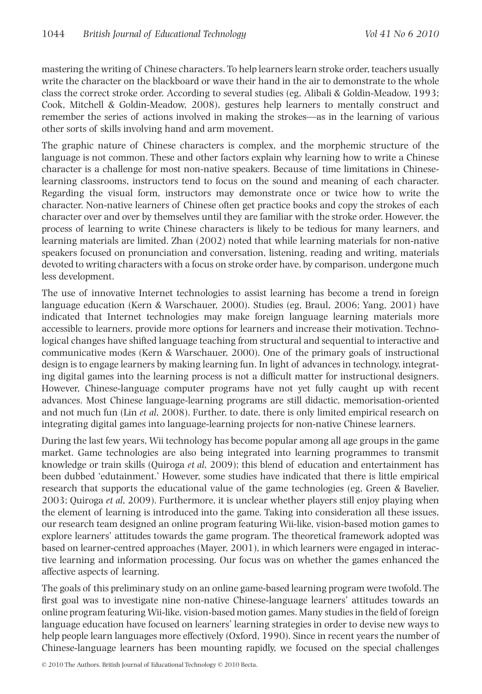mastering the writing of Chinese characters. To help learners learn stroke order, teachers usually write the character on the blackboard or wave their hand in the air to demonstrate to the whole class the correct stroke order. According to several studies (eg, Alibali & Goldin-Meadow, 1993; Cook, Mitchell & Goldin-Meadow, 2008), gestures help learners to mentally construct and remember the series of actions involved in making the strokes—as in the learning of various other sorts of skills involving hand and arm movement.

The graphic nature of Chinese characters is complex, and the morphemic structure of the language is not common. These and other factors explain why learning how to write a Chinese character is a challenge for most non-native speakers. Because of time limitations in Chineselearning classrooms, instructors tend to focus on the sound and meaning of each character. Regarding the visual form, instructors may demonstrate once or twice how to write the character. Non-native learners of Chinese often get practice books and copy the strokes of each character over and over by themselves until they are familiar with the stroke order. However, the process of learning to write Chinese characters is likely to be tedious for many learners, and learning materials are limited. Zhan (2002) noted that while learning materials for non-native speakers focused on pronunciation and conversation, listening, reading and writing, materials devoted to writing characters with a focus on stroke order have, by comparison, undergone much less development.

The use of innovative Internet technologies to assist learning has become a trend in foreign language education (Kern & Warschauer, 2000). Studies (eg, Braul, 2006; Yang, 2001) have indicated that Internet technologies may make foreign language learning materials more accessible to learners, provide more options for learners and increase their motivation. Technological changes have shifted language teaching from structural and sequential to interactive and communicative modes (Kern & Warschauer, 2000). One of the primary goals of instructional design is to engage learners by making learning fun. In light of advances in technology, integrating digital games into the learning process is not a difficult matter for instructional designers. However, Chinese-language computer programs have not yet fully caught up with recent advances. Most Chinese language-learning programs are still didactic, memorisation-oriented and not much fun (Lin *et al*, 2008). Further, to date, there is only limited empirical research on integrating digital games into language-learning projects for non-native Chinese learners.

During the last few years, Wii technology has become popular among all age groups in the game market. Game technologies are also being integrated into learning programmes to transmit knowledge or train skills (Quiroga *et al*, 2009); this blend of education and entertainment has been dubbed 'edutainment.' However, some studies have indicated that there is little empirical research that supports the educational value of the game technologies (eg, Green & Bavelier, 2003; Quiroga *et al*, 2009). Furthermore, it is unclear whether players still enjoy playing when the element of learning is introduced into the game. Taking into consideration all these issues, our research team designed an online program featuring Wii-like, vision-based motion games to explore learners' attitudes towards the game program. The theoretical framework adopted was based on learner-centred approaches (Mayer, 2001), in which learners were engaged in interactive learning and information processing. Our focus was on whether the games enhanced the affective aspects of learning.

The goals of this preliminary study on an online game-based learning program were twofold. The first goal was to investigate nine non-native Chinese-language learners' attitudes towards an online program featuring Wii-like, vision-based motion games. Many studies in the field of foreign language education have focused on learners' learning strategies in order to devise new ways to help people learn languages more effectively (Oxford, 1990). Since in recent years the number of Chinese-language learners has been mounting rapidly, we focused on the special challenges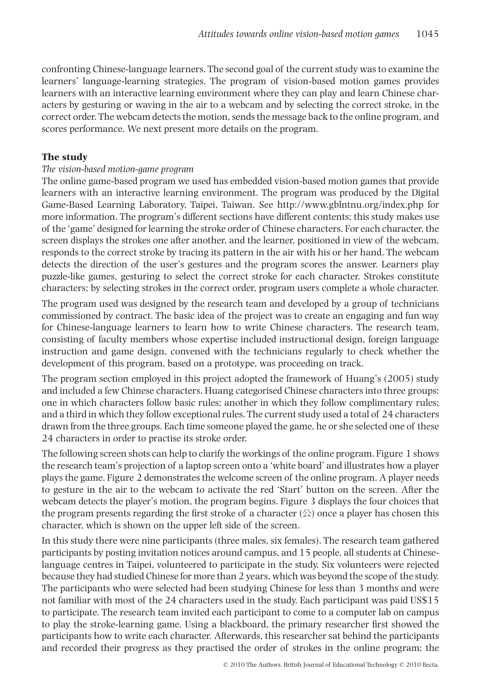confronting Chinese-language learners. The second goal of the current study was to examine the learners' language-learning strategies. The program of vision-based motion games provides learners with an interactive learning environment where they can play and learn Chinese characters by gesturing or waving in the air to a webcam and by selecting the correct stroke, in the correct order. The webcam detects the motion, sends the message back to the online program, and scores performance. We next present more details on the program.

### **The study**

#### *The vision-based motion-game program*

The online game-based program we used has embedded vision-based motion games that provide learners with an interactive learning environment. The program was produced by the Digital Game-Based Learning Laboratory, Taipei, Taiwan. See http://www.gblntnu.org/index.php for more information. The program's different sections have different contents; this study makes use of the 'game' designed for learning the stroke order of Chinese characters. For each character, the screen displays the strokes one after another, and the learner, positioned in view of the webcam, responds to the correct stroke by tracing its pattern in the air with his or her hand. The webcam detects the direction of the user's gestures and the program scores the answer. Learners play puzzle-like games, gesturing to select the correct stroke for each character. Strokes constitute characters; by selecting strokes in the correct order, program users complete a whole character.

The program used was designed by the research team and developed by a group of technicians commissioned by contract. The basic idea of the project was to create an engaging and fun way for Chinese-language learners to learn how to write Chinese characters. The research team, consisting of faculty members whose expertise included instructional design, foreign language instruction and game design, convened with the technicians regularly to check whether the development of this program, based on a prototype, was proceeding on track.

The program section employed in this project adopted the framework of Huang's (2005) study and included a few Chinese characters. Huang categorised Chinese characters into three groups: one in which characters follow basic rules; another in which they follow complimentary rules; and a third in which they follow exceptional rules. The current study used a total of 24 characters drawn from the three groups. Each time someone played the game, he or she selected one of these 24 characters in order to practise its stroke order.

The following screen shots can help to clarify the workings of the online program. Figure 1 shows the research team's projection of a laptop screen onto a 'white board' and illustrates how a player plays the game. Figure 2 demonstrates the welcome screen of the online program. A player needs to gesture in the air to the webcam to activate the red 'Start' button on the screen. After the webcam detects the player's motion, the program begins. Figure 3 displays the four choices that the program presents regarding the first stroke of a character  $\langle \triangle \rangle$  once a player has chosen this character, which is shown on the upper left side of the screen.

In this study there were nine participants (three males, six females). The research team gathered participants by posting invitation notices around campus, and 15 people, all students at Chineselanguage centres in Taipei, volunteered to participate in the study. Six volunteers were rejected because they had studied Chinese for more than 2 years, which was beyond the scope of the study. The participants who were selected had been studying Chinese for less than 3 months and were not familiar with most of the 24 characters used in the study. Each participant was paid US\$15 to participate. The research team invited each participant to come to a computer lab on campus to play the stroke-learning game. Using a blackboard, the primary researcher first showed the participants how to write each character. Afterwards, this researcher sat behind the participants and recorded their progress as they practised the order of strokes in the online program; the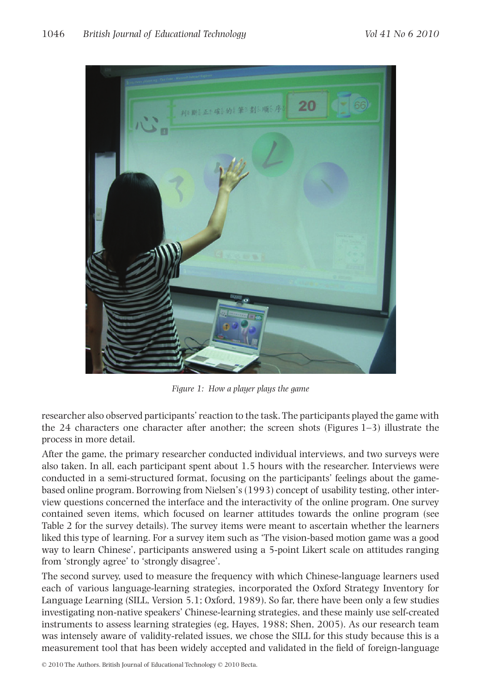

*Figure 1: How a player plays the game*

researcher also observed participants' reaction to the task. The participants played the game with the 24 characters one character after another; the screen shots (Figures  $1-3$ ) illustrate the process in more detail.

After the game, the primary researcher conducted individual interviews, and two surveys were also taken. In all, each participant spent about 1.5 hours with the researcher. Interviews were conducted in a semi-structured format, focusing on the participants' feelings about the gamebased online program. Borrowing from Nielsen's (1993) concept of usability testing, other interview questions concerned the interface and the interactivity of the online program. One survey contained seven items, which focused on learner attitudes towards the online program (see Table 2 for the survey details). The survey items were meant to ascertain whether the learners liked this type of learning. For a survey item such as 'The vision-based motion game was a good way to learn Chinese', participants answered using a 5-point Likert scale on attitudes ranging from 'strongly agree' to 'strongly disagree'.

The second survey, used to measure the frequency with which Chinese-language learners used each of various language-learning strategies, incorporated the Oxford Strategy Inventory for Language Learning (SILL, Version 5.1; Oxford, 1989). So far, there have been only a few studies investigating non-native speakers' Chinese-learning strategies, and these mainly use self-created instruments to assess learning strategies (eg, Hayes, 1988; Shen, 2005). As our research team was intensely aware of validity-related issues, we chose the SILL for this study because this is a measurement tool that has been widely accepted and validated in the field of foreign-language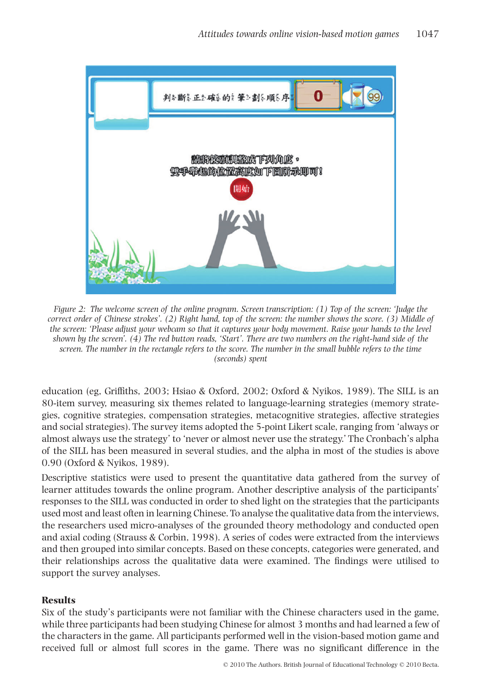

*Figure 2: The welcome screen of the online program. Screen transcription: (1) Top of the screen: 'Judge the correct order of Chinese strokes'. (2) Right hand, top of the screen: the number shows the score. (3) Middle of the screen: 'Please adjust your webcam so that it captures your body movement. Raise your hands to the level shown by the screen'. (4) The red button reads, 'Start'. There are two numbers on the right-hand side of the screen. The number in the rectangle refers to the score. The number in the small bubble refers to the time (seconds) spent*

education (eg, Griffiths, 2003; Hsiao & Oxford, 2002; Oxford & Nyikos, 1989). The SILL is an 80-item survey, measuring six themes related to language-learning strategies (memory strategies, cognitive strategies, compensation strategies, metacognitive strategies, affective strategies and social strategies). The survey items adopted the 5-point Likert scale, ranging from 'always or almost always use the strategy' to 'never or almost never use the strategy.' The Cronbach's alpha of the SILL has been measured in several studies, and the alpha in most of the studies is above 0.90 (Oxford & Nyikos, 1989).

Descriptive statistics were used to present the quantitative data gathered from the survey of learner attitudes towards the online program. Another descriptive analysis of the participants' responses to the SILL was conducted in order to shed light on the strategies that the participants used most and least often in learning Chinese. To analyse the qualitative data from the interviews, the researchers used micro-analyses of the grounded theory methodology and conducted open and axial coding (Strauss & Corbin, 1998). A series of codes were extracted from the interviews and then grouped into similar concepts. Based on these concepts, categories were generated, and their relationships across the qualitative data were examined. The findings were utilised to support the survey analyses.

#### **Results**

Six of the study's participants were not familiar with the Chinese characters used in the game, while three participants had been studying Chinese for almost 3 months and had learned a few of the characters in the game. All participants performed well in the vision-based motion game and received full or almost full scores in the game. There was no significant difference in the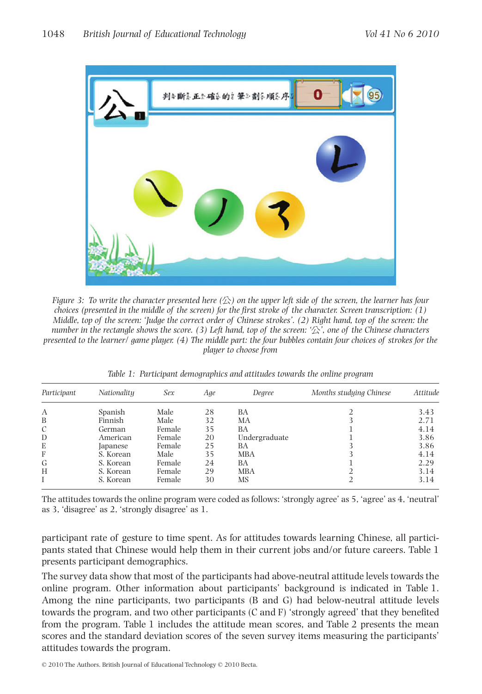

*Figure 3: To write the character presented here (* $\Diamond$ *) on the upper left side of the screen, the learner has four choices (presented in the middle of the screen) for the first stroke of the character. Screen transcription: (1) Middle, top of the screen: 'Judge the correct order of Chinese strokes'. (2) Right hand, top of the screen: the number in the rectangle shows the score. (3) Left hand, top of the screen: ' ', one of the Chinese characters presented to the learner/ game player. (4) The middle part: the four bubbles contain four choices of strokes for the player to choose from*

| Participant | Nationality     | Sex    | Age | Degree        | Months studying Chinese | Attitude |
|-------------|-----------------|--------|-----|---------------|-------------------------|----------|
| А           | Spanish         | Male   | 28  | BA            |                         | 3.43     |
| B           | Finnish         | Male   | 32  | MA            |                         | 2.71     |
| C           | German          | Female | 35  | BA            |                         | 4.14     |
| D           | American        | Female | 20  | Undergraduate |                         | 3.86     |
| Е           | <i>Japanese</i> | Female | 25  | BA            |                         | 3.86     |
| F           | S. Korean       | Male   | 35  | <b>MBA</b>    |                         | 4.14     |
| G           | S. Korean       | Female | 24  | BA            |                         | 2.29     |
| H           | S. Korean       | Female | 29  | <b>MBA</b>    |                         | 3.14     |
|             | S. Korean       | Female | 30  | MS            |                         | 3.14     |

*Table 1: Participant demographics and attitudes towards the online program*

The attitudes towards the online program were coded as follows: 'strongly agree' as 5, 'agree' as 4, 'neutral' as 3, 'disagree' as 2, 'strongly disagree' as 1.

participant rate of gesture to time spent. As for attitudes towards learning Chinese, all participants stated that Chinese would help them in their current jobs and/or future careers. Table 1 presents participant demographics.

The survey data show that most of the participants had above-neutral attitude levels towards the online program. Other information about participants' background is indicated in Table 1. Among the nine participants, two participants (B and G) had below-neutral attitude levels towards the program, and two other participants (C and F) 'strongly agreed' that they benefited from the program. Table 1 includes the attitude mean scores, and Table 2 presents the mean scores and the standard deviation scores of the seven survey items measuring the participants' attitudes towards the program.

© 2010 The Authors. British Journal of Educational Technology © 2010 Becta.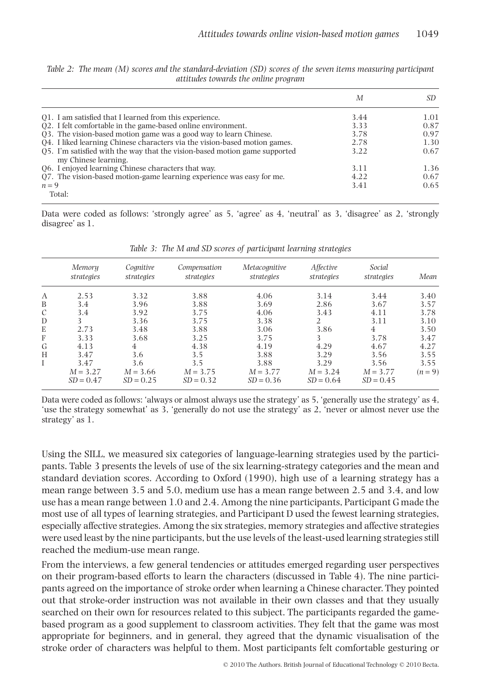|                                                                            | М    | SD   |
|----------------------------------------------------------------------------|------|------|
| 01. I am satisfied that I learned from this experience.                    | 3.44 | 1.01 |
| 02. I felt comfortable in the game-based online environment.               | 3.33 | 0.87 |
| 03. The vision-based motion game was a good way to learn Chinese.          | 3.78 | 0.97 |
| Q4. I liked learning Chinese characters via the vision-based motion games. | 2.78 | 1.30 |
| 05. I'm satisfied with the way that the vision-based motion game supported | 3.22 | 0.67 |
| my Chinese learning.                                                       |      |      |
| 06. I enjoved learning Chinese characters that way.                        | 3.11 | 1.36 |
| Q7. The vision-based motion-game learning experience was easy for me.      | 4.22 | 0.67 |
| $n = 9$                                                                    | 3.41 | 0.65 |
| Total:                                                                     |      |      |

*Table 2: The mean (M) scores and the standard-deviation (SD) scores of the seven items measuring participant attitudes towards the online program*

Data were coded as follows: 'strongly agree' as 5, 'agree' as 4, 'neutral' as 3, 'disagree' as 2, 'strongly disagree' as 1.

| Memory<br>strategies              | Cognitive<br>strategies          | Compensation<br>strategies       | Metacognitive<br>strategies       | <i>Affective</i><br>strategies    | Social<br>strategies              | Mean            |
|-----------------------------------|----------------------------------|----------------------------------|-----------------------------------|-----------------------------------|-----------------------------------|-----------------|
| 2.53                              | 3.32                             | 3.88                             | 4.06                              | 3.14                              | 3.44                              | 3.40            |
| 3.4                               | 3.96                             | 3.88                             | 3.69                              | 2.86                              | 3.67                              | 3.57            |
| 3.4                               | 3.92                             | 3.75                             | 4.06                              | 3.43                              | 4.11                              | 3.78            |
|                                   | 3.36                             | 3.75                             | 3.38                              | $\overline{2}$                    | 3.11                              | 3.10            |
| 2.73                              | 3.48                             | 3.88                             | 3.06                              | 3.86                              | 4                                 | 3.50            |
| 3.33                              | 3.68                             | 3.25                             | 3.75                              | 3                                 | 3.78                              | 3.47            |
| 4.13                              | $\overline{4}$                   | 4.38                             | 4.19                              | 4.29                              | 4.67                              | 4.27            |
| 3.47                              | 3.6                              | 3.5                              | 3.88                              | 3.29                              | 3.56                              | 3.55            |
| 3.47<br>$M = 3.27$<br>$SD = 0.47$ | 3.6<br>$M = 3.66$<br>$SD = 0.25$ | 3.5<br>$M = 3.75$<br>$SD = 0.32$ | 3.88<br>$M = 3.77$<br>$SD = 0.36$ | 3.29<br>$M = 3.24$<br>$SD = 0.64$ | 3.56<br>$M = 3.77$<br>$SD = 0.45$ | 3.55<br>$(n=9)$ |
|                                   |                                  |                                  |                                   |                                   |                                   |                 |

*Table 3: The M and SD scores of participant learning strategies*

Data were coded as follows: 'always or almost always use the strategy' as 5, 'generally use the strategy' as 4, 'use the strategy somewhat' as 3, 'generally do not use the strategy' as 2, 'never or almost never use the strategy' as 1.

Using the SILL, we measured six categories of language-learning strategies used by the participants. Table 3 presents the levels of use of the six learning-strategy categories and the mean and standard deviation scores. According to Oxford (1990), high use of a learning strategy has a mean range between 3.5 and 5.0, medium use has a mean range between 2.5 and 3.4, and low use has a mean range between 1.0 and 2.4. Among the nine participants, Participant G made the most use of all types of learning strategies, and Participant D used the fewest learning strategies, especially affective strategies. Among the six strategies, memory strategies and affective strategies were used least by the nine participants, but the use levels of the least-used learning strategies still reached the medium-use mean range.

From the interviews, a few general tendencies or attitudes emerged regarding user perspectives on their program-based efforts to learn the characters (discussed in Table 4). The nine participants agreed on the importance of stroke order when learning a Chinese character. They pointed out that stroke-order instruction was not available in their own classes and that they usually searched on their own for resources related to this subject. The participants regarded the gamebased program as a good supplement to classroom activities. They felt that the game was most appropriate for beginners, and in general, they agreed that the dynamic visualisation of the stroke order of characters was helpful to them. Most participants felt comfortable gesturing or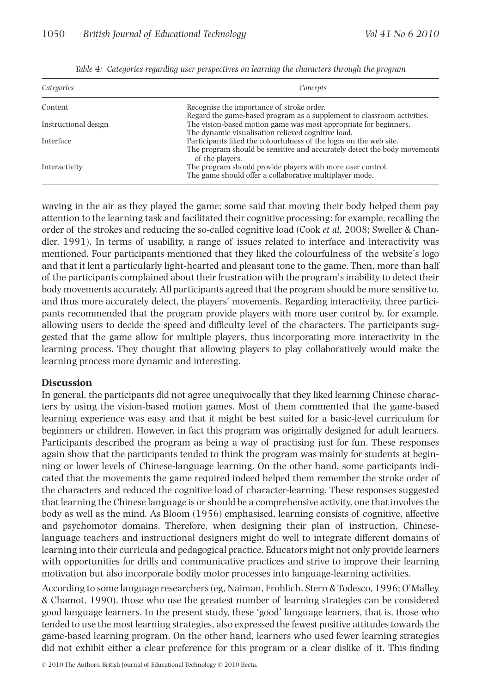| Categories           | Concepts                                                                                                                                                          |
|----------------------|-------------------------------------------------------------------------------------------------------------------------------------------------------------------|
| Content              | Recognise the importance of stroke order.<br>Regard the game-based program as a supplement to classroom activities.                                               |
| Instructional design | The vision-based motion game was most appropriate for beginners.<br>The dynamic visualisation relieved cognitive load.                                            |
| Interface            | Participants liked the colourfulness of the logos on the web site.<br>The program should be sensitive and accurately detect the body movements<br>of the players. |
| Interactivity        | The program should provide players with more user control.<br>The game should offer a collaborative multiplayer mode.                                             |

*Table 4: Categories regarding user perspectives on learning the characters through the program*

waving in the air as they played the game; some said that moving their body helped them pay attention to the learning task and facilitated their cognitive processing: for example, recalling the order of the strokes and reducing the so-called cognitive load (Cook *et al*, 2008; Sweller & Chandler, 1991). In terms of usability, a range of issues related to interface and interactivity was mentioned. Four participants mentioned that they liked the colourfulness of the website's logo and that it lent a particularly light-hearted and pleasant tone to the game. Then, more than half of the participants complained about their frustration with the program's inability to detect their body movements accurately. All participants agreed that the program should be more sensitive to, and thus more accurately detect, the players' movements. Regarding interactivity, three participants recommended that the program provide players with more user control by, for example, allowing users to decide the speed and difficulty level of the characters. The participants suggested that the game allow for multiple players, thus incorporating more interactivity in the learning process. They thought that allowing players to play collaboratively would make the learning process more dynamic and interesting.

#### **Discussion**

In general, the participants did not agree unequivocally that they liked learning Chinese characters by using the vision-based motion games. Most of them commented that the game-based learning experience was easy and that it might be best suited for a basic-level curriculum for beginners or children. However, in fact this program was originally designed for adult learners. Participants described the program as being a way of practising just for fun. These responses again show that the participants tended to think the program was mainly for students at beginning or lower levels of Chinese-language learning. On the other hand, some participants indicated that the movements the game required indeed helped them remember the stroke order of the characters and reduced the cognitive load of character-learning. These responses suggested that learning the Chinese language is or should be a comprehensive activity, one that involves the body as well as the mind. As Bloom (1956) emphasised, learning consists of cognitive, affective and psychomotor domains. Therefore, when designing their plan of instruction, Chineselanguage teachers and instructional designers might do well to integrate different domains of learning into their curricula and pedagogical practice. Educators might not only provide learners with opportunities for drills and communicative practices and strive to improve their learning motivation but also incorporate bodily motor processes into language-learning activities.

According to some language researchers (eg, Naiman, Frohlich, Stern & Todesco, 1996; O'Malley & Chamot, 1990), those who use the greatest number of learning strategies can be considered good language learners. In the present study, these 'good' language learners, that is, those who tended to use the most learning strategies, also expressed the fewest positive attitudes towards the game-based learning program. On the other hand, learners who used fewer learning strategies did not exhibit either a clear preference for this program or a clear dislike of it. This finding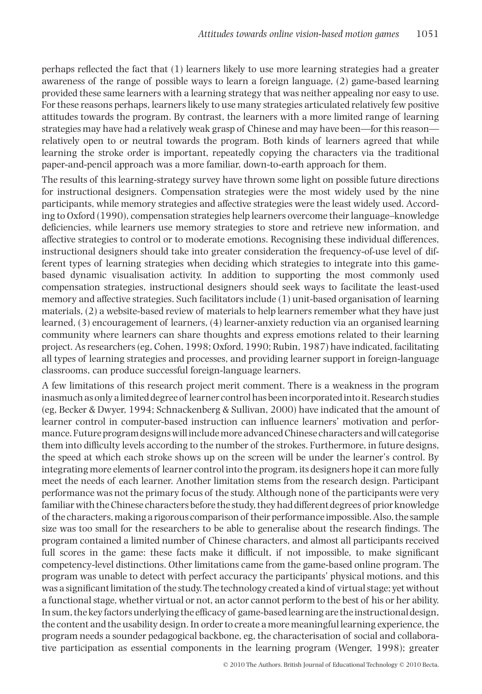perhaps reflected the fact that (1) learners likely to use more learning strategies had a greater awareness of the range of possible ways to learn a foreign language, (2) game-based learning provided these same learners with a learning strategy that was neither appealing nor easy to use. For these reasons perhaps, learners likely to use many strategies articulated relatively few positive attitudes towards the program. By contrast, the learners with a more limited range of learning strategies may have had a relatively weak grasp of Chinese and may have been—for this reason relatively open to or neutral towards the program. Both kinds of learners agreed that while learning the stroke order is important, repeatedly copying the characters via the traditional paper-and-pencil approach was a more familiar, down-to-earth approach for them.

The results of this learning-strategy survey have thrown some light on possible future directions for instructional designers. Compensation strategies were the most widely used by the nine participants, while memory strategies and affective strategies were the least widely used. According to Oxford (1990), compensation strategies help learners overcome their language–knowledge deficiencies, while learners use memory strategies to store and retrieve new information, and affective strategies to control or to moderate emotions. Recognising these individual differences, instructional designers should take into greater consideration the frequency-of-use level of different types of learning strategies when deciding which strategies to integrate into this gamebased dynamic visualisation activity. In addition to supporting the most commonly used compensation strategies, instructional designers should seek ways to facilitate the least-used memory and affective strategies. Such facilitators include (1) unit-based organisation of learning materials, (2) a website-based review of materials to help learners remember what they have just learned, (3) encouragement of learners, (4) learner-anxiety reduction via an organised learning community where learners can share thoughts and express emotions related to their learning project. As researchers (eg, Cohen, 1998; Oxford, 1990; Rubin, 1987) have indicated, facilitating all types of learning strategies and processes, and providing learner support in foreign-language classrooms, can produce successful foreign-language learners.

A few limitations of this research project merit comment. There is a weakness in the program inasmuch as only a limited degree of learner control has been incorporated into it. Research studies (eg, Becker & Dwyer, 1994; Schnackenberg & Sullivan, 2000) have indicated that the amount of learner control in computer-based instruction can influence learners' motivation and performance. Future program designs will include more advanced Chinese characters and will categorise them into difficulty levels according to the number of the strokes. Furthermore, in future designs, the speed at which each stroke shows up on the screen will be under the learner's control. By integrating more elements of learner control into the program, its designers hope it can more fully meet the needs of each learner. Another limitation stems from the research design. Participant performance was not the primary focus of the study. Although none of the participants were very familiar with the Chinese characters before the study, they had different degrees of prior knowledge of the characters, making a rigorous comparison of their performance impossible. Also, the sample size was too small for the researchers to be able to generalise about the research findings. The program contained a limited number of Chinese characters, and almost all participants received full scores in the game: these facts make it difficult, if not impossible, to make significant competency-level distinctions. Other limitations came from the game-based online program. The program was unable to detect with perfect accuracy the participants' physical motions, and this was a significant limitation of the study. The technology created a kind of virtual stage; yet without a functional stage, whether virtual or not, an actor cannot perform to the best of his or her ability. In sum, the key factors underlying the efficacy of game-based learning are the instructional design, the content and the usability design. In order to create a more meaningful learning experience, the program needs a sounder pedagogical backbone, eg, the characterisation of social and collaborative participation as essential components in the learning program (Wenger, 1998); greater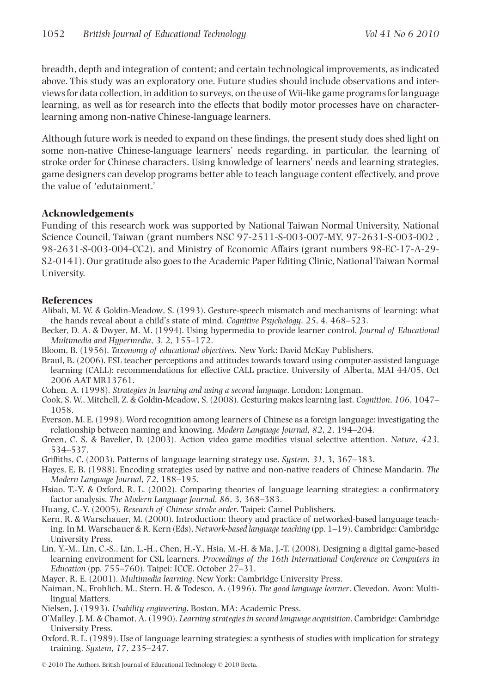breadth, depth and integration of content; and certain technological improvements, as indicated above. This study was an exploratory one. Future studies should include observations and interviews for data collection, in addition to surveys, on the use of Wii-like game programs for language learning, as well as for research into the effects that bodily motor processes have on characterlearning among non-native Chinese-language learners.

Although future work is needed to expand on these findings, the present study does shed light on some non-native Chinese-language learners' needs regarding, in particular, the learning of stroke order for Chinese characters. Using knowledge of learners' needs and learning strategies, game designers can develop programs better able to teach language content effectively, and prove the value of 'edutainment.'

#### **Acknowledgements**

Funding of this research work was supported by National Taiwan Normal University, National Science Council, Taiwan (grant numbers NSC 97-2511-S-003-007-MY, 97-2631-S-003-002 , 98-2631-S-003-004-CC2), and Ministry of Economic Affairs (grant numbers 98-EC-17-A-29- S2-0141). Our gratitude also goes to the Academic Paper Editing Clinic, National Taiwan Normal University.

#### **References**

- Alibali, M. W. & Goldin-Meadow, S. (1993). Gesture-speech mismatch and mechanisms of learning: what the hands reveal about a child's state of mind. *Cognitive Psychology*, *25*, 4, 468–523.
- Becker, D. A. & Dwyer, M. M. (1994). Using hypermedia to provide learner control. *Journal of Educational Multimedia and Hypermedia*, *3*, 2, 155–172.
- Bloom, B. (1956). *Taxonomy of educational objectives*. New York: David McKay Publishers.
- Braul, B. (2006). ESL teacher perceptions and attitudes towards toward using computer-assisted language learning (CALL): recommendations for effective CALL practice. University of Alberta, MAI 44/05, Oct 2006 AAT MR13761.
- Cohen, A. (1998). *Strategies in learning and using a second language*. London: Longman.
- Cook, S. W., Mitchell, Z. & Goldin-Meadow, S. (2008). Gesturing makes learning last. *Cognition*, *106*, 1047– 1058.
- Everson, M. E. (1998). Word recognition among learners of Chinese as a foreign language: investigating the relationship between naming and knowing. *Modern Language Journal*, *82*, 2, 194–204.
- Green, C. S. & Bavelier, D. (2003). Action video game modifies visual selective attention. *Nature*, *423*, 534–537.
- Griffiths, C. (2003). Patterns of language learning strategy use. *System*, *31*, 3, 367–383.
- Hayes, E. B. (1988). Encoding strategies used by native and non-native readers of Chinese Mandarin. *The Modern Language Journal*, *72*, 188–195.
- Hsiao, T.-Y. & Oxford, R. L. (2002). Comparing theories of language learning strategies: a confirmatory factor analysis. *The Modern Language Journal*, *86*, 3, 368–383.
- Huang, C.-Y. (2005). *Research of Chinese stroke order*. Taipei: Camel Publishers.
- Kern, R. & Warschauer, M. (2000). Introduction: theory and practice of networked-based language teaching. In M. Warschauer & R. Kern (Eds), *Network-based language teaching* (pp. 1–19). Cambridge: Cambridge University Press.
- Lin, Y.-M., Lin, C.-S., Lin, L.-H., Chen, H.-Y., Hsia, M.-H. & Ma, J.-T. (2008). Designing a digital game-based learning environment for CSL learners. *Proceedings of the 16th International Conference on Computers in Education* (pp. 755–760). Taipei: ICCE. October 27–31.
- Mayer, R. E. (2001). *Multimedia learning*. New York: Cambridge University Press.
- Naiman, N., Frohlich, M., Stern, H. & Todesco, A. (1996). *The good language learner*. Clevedon, Avon: Multilingual Matters.
- Nielsen, J. (1993). *Usability engineering*. Boston, MA: Academic Press.
- O'Malley, J. M. & Chamot, A. (1990). *Learning strategies in second language acquisition*. Cambridge: Cambridge University Press.
- Oxford, R. L. (1989). Use of language learning strategies: a synthesis of studies with implication for strategy training. *System*, *17*, 235–247.
- © 2010 The Authors. British Journal of Educational Technology © 2010 Becta.